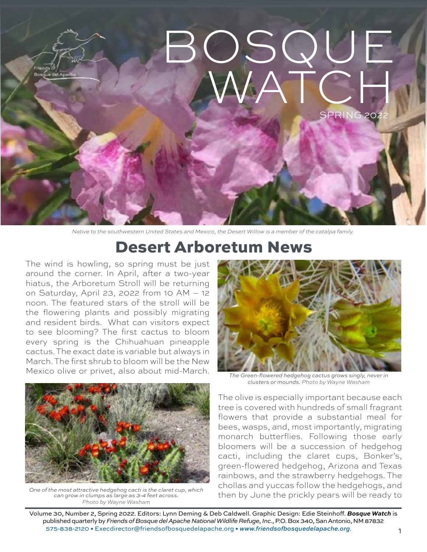

*Native to the southwestern United States and Mexico, the Desert Willow is a member of the catalpa family.*

### Desert Arboretum News

The wind is howling, so spring must be just around the corner. In April, after a two-year hiatus, the Arboretum Stroll will be returning on Saturday, April 23, 2022 from 10 AM – 12 noon. The featured stars of the stroll will be the flowering plants and possibly migrating and resident birds. What can visitors expect to see blooming? The first cactus to bloom every spring is the Chihuahuan pineapple cactus. The exact date is variable but always in March. The first shrub to bloom will be the New Mexico olive or privet, also about mid-March.



*can grow in clumps as large as 3-4 feet across. Photo by Wayne Washam*



*The Green-flowered hedgehog cactus grows singly, never in clusters or mounds. Photo by Wayne Washam*

The olive is especially important because each tree is covered with hundreds of small fragrant flowers that provide a substantial meal for bees, wasps, and, most importantly, migrating monarch butterflies. Following those early bloomers will be a succession of hedgehog cacti, including the claret cups, Bonker's, green-flowered hedgehog, Arizona and Texas rainbows, and the strawberry hedgehogs. The chollas and yuccas follow the hedgehogs, and One of the most attractive hedgehog cacti is the claret cup, which and provious dation y ducleds forhow the fiedgehogs, drive<br>Can grow in clumps as large as 3-4 feet across. Then by June the prickly pears will be ready to

Volume 30, Number 2, Spring 2022. Editors: Lynn Deming & Deb Caldwell. Graphic Design: Edie Steinhoff. *Bosque Watch* is published quarterly by *Friends of Bosque del Apache National Wildlife Refuge, Inc.*, P.O. Box 340, San Antonio, NM 87832 575-838-2120 • [Execdirector@friendsofbosquedelapache.org](mailto:Execdirector@friendsofbosquedelapache.org) • *[www.friendsofbosquedelapache.org](http://www.friendsofbosquedelapache.org).*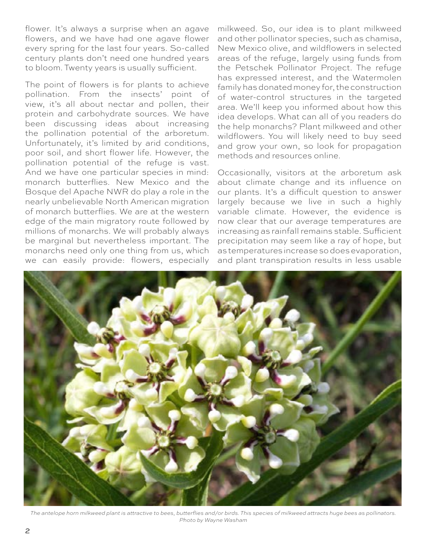flower. It's always a surprise when an agave flowers, and we have had one agave flower every spring for the last four years. So-called century plants don't need one hundred years to bloom. Twenty years is usually sufficient.

The point of flowers is for plants to achieve pollination. From the insects' point of view, it's all about nectar and pollen, their protein and carbohydrate sources. We have been discussing ideas about increasing the pollination potential of the arboretum. Unfortunately, it's limited by arid conditions, poor soil, and short flower life. However, the pollination potential of the refuge is vast. And we have one particular species in mind: monarch butterflies. New Mexico and the Bosque del Apache NWR do play a role in the nearly unbelievable North American migration of monarch butterflies. We are at the western edge of the main migratory route followed by millions of monarchs. We will probably always be marginal but nevertheless important. The monarchs need only one thing from us, which we can easily provide: flowers, especially

milkweed. So, our idea is to plant milkweed and other pollinator species, such as chamisa, New Mexico olive, and wildflowers in selected areas of the refuge, largely using funds from the Petschek Pollinator Project. The refuge has expressed interest, and the Watermolen family has donated money for, the construction of water-control structures in the targeted area. We'll keep you informed about how this idea develops. What can all of you readers do the help monarchs? Plant milkweed and other wildflowers. You will likely need to buy seed and grow your own, so look for propagation methods and resources online.

Occasionally, visitors at the arboretum ask about climate change and its influence on our plants. It's a difficult question to answer largely because we live in such a highly variable climate. However, the evidence is now clear that our average temperatures are increasing as rainfall remains stable. Sufficient precipitation may seem like a ray of hope, but as temperatures increase so does evaporation, and plant transpiration results in less usable



*The antelope horn milkweed plant is attractive to bees, butterflies and/or birds. This species of milkweed attracts huge bees as pollinators. Photo by Wayne Washam*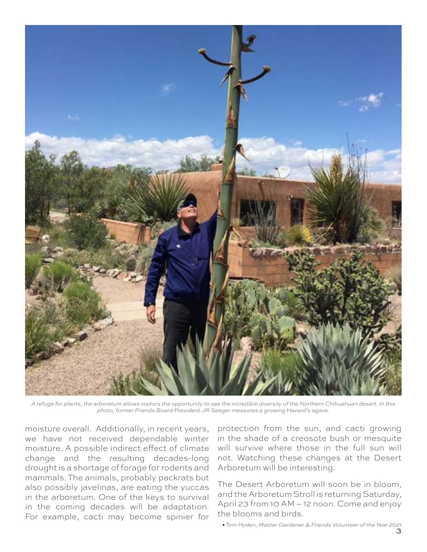

*A refuge for plants, the arboretum allows visitors the opportunity to see the incredible diversity of the Northern Chihuahuan desert. In this photo, former Friends Board President JR Seeger measures a growing Havard's agave.*

moisture overall. Additionally, in recent years, we have not received dependable winter moisture. A possible indirect effect of climate change and the resulting decades-long drought is a shortage of forage for rodents and mammals. The animals, probably packrats but also possibly javelinas, are eating the yuccas in the arboretum. One of the keys to survival in the coming decades will be adaptation. For example, cacti may become spinier for

protection from the sun, and cacti growing in the shade of a creosote bush or mesquite will survive where those in the full sun will not. Watching these changes at the Desert Arboretum will be interesting.

The Desert Arboretum will soon be in bloom, and the Arboretum Stroll is returning Saturday, April 23 from 10 AM – 12 noon. Come and enjoy the blooms and birds.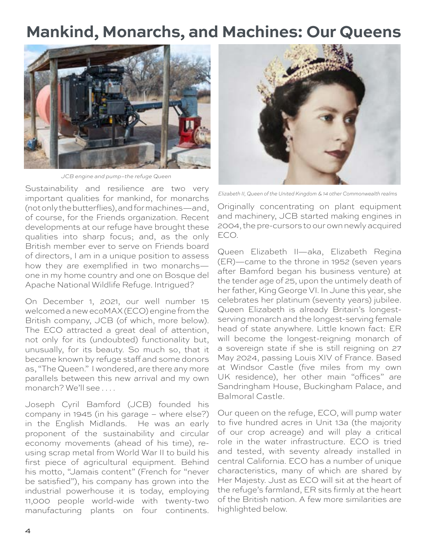### **Mankind, Monarchs, and Machines: Our Queens**



*JCB engine and pump–the refuge Queen*

Sustainability and resilience are two very important qualities for mankind, for monarchs (not only the butterflies), and for machines—and, of course, for the Friends organization. Recent developments at our refuge have brought these qualities into sharp focus; and, as the only British member ever to serve on Friends board of directors, I am in a unique position to assess how they are exemplified in two monarchs one in my home country and one on Bosque del Apache National Wildlife Refuge. Intrigued?

On December 1, 2021, our well number 15 welcomed a new ecoMAX (ECO) engine from the British company, JCB (of which, more below). The ECO attracted a great deal of attention, not only for its (undoubted) functionality but, unusually, for its beauty. So much so, that it became known by refuge staff and some donors as, "The Queen." I wondered, are there any more parallels between this new arrival and my own monarch? We'll see . . . .

Joseph Cyril Bamford (JCB) founded his company in 1945 (in his garage – where else?) in the English Midlands. He was an early proponent of the sustainability and circular economy movements (ahead of his time), reusing scrap metal from World War II to build his first piece of agricultural equipment. Behind his motto, "Jamais content" (French for "never be satisfied"), his company has grown into the industrial powerhouse it is today, employing 11,000 people world-wide with twenty-two manufacturing plants on four continents.



*Elizabeth II, Queen of the United Kingdom & 14 other Commonwealth realms*

Originally concentrating on plant equipment and machinery, JCB started making engines in 2004, the pre-cursors to our own newly acquired ECO.

Queen Elizabeth II—aka, Elizabeth Regina (ER)—came to the throne in 1952 (seven years after Bamford began his business venture) at the tender age of 25, upon the untimely death of her father, King George VI. In June this year, she celebrates her platinum (seventy years) jubilee. Queen Elizabeth is already Britain's longestserving monarch and the longest-serving female head of state anywhere. Little known fact: ER will become the longest-reigning monarch of a sovereign state if she is still reigning on 27 May 2024, passing Louis XIV of France. Based at Windsor Castle (five miles from my own UK residence), her other main "offices" are Sandringham House, Buckingham Palace, and Balmoral Castle.

Our queen on the refuge, ECO, will pump water to five hundred acres in Unit 13a (the majority of our crop acreage) and will play a critical role in the water infrastructure. ECO is tried and tested, with seventy already installed in central California. ECO has a number of unique characteristics, many of which are shared by Her Majesty. Just as ECO will sit at the heart of the refuge's farmland, ER sits firmly at the heart of the British nation. A few more similarities are highlighted below.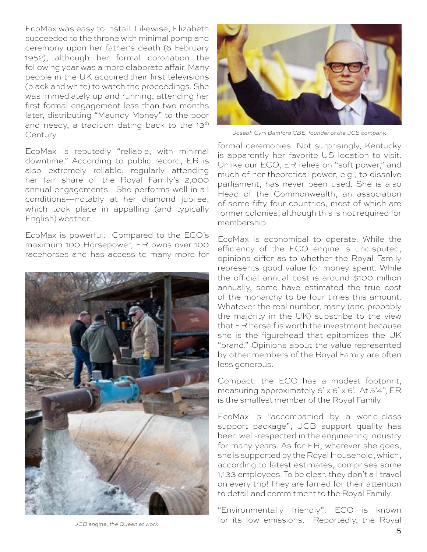EcoMax was easy to install. Likewise, Elizabeth succeeded to the throne with minimal pomp and ceremony upon her father's death (6 February 1952), although her formal coronation the following year was a more elaborate affair. Many people in the UK acquired their first televisions (black and white) to watch the proceedings. She was immediately up and running, attending her first formal engagement less than two months later, distributing "Maundy Money" to the poor and needy, a tradition dating back to the 13<sup>th</sup> Century.

EcoMax is reputedly "reliable, with minimal downtime." According to public record, ER is also extremely reliable, regularly attending her fair share of the Royal Family's 2,000 annual engagements. She performs well in all conditions—notably at her diamond jubilee, which took place in appalling (and typically English) weather.

EcoMax is powerful. Compared to the ECO's maximum 100 Horsepower, ER owns over 100 racehorses and has access to many more for





*Joseph Cyril Bamford CBE, founder of the JCB company.*

formal ceremonies. Not surprisingly, Kentucky is apparently her favorite US location to visit. Unlike our ECO, ER relies on "soft power," and much of her theoretical power, e.g., to dissolve parliament, has never been used. She is also Head of the Commonwealth, an association of some fifty-four countries, most of which are former colonies, although this is not required for membership.

EcoMax is economical to operate. While the efficiency of the ECO engine is undisputed, opinions differ as to whether the Royal Family represents good value for money spent. While the official annual cost is around \$100 million annually, some have estimated the true cost of the monarchy to be four times this amount. Whatever the real number, many (and probably the majority in the UK) subscribe to the view that ER herself is worth the investment because she is the figurehead that epitomizes the UK "brand." Opinions about the value represented by other members of the Royal Family are often less generous.

Compact: the ECO has a modest footprint, measuring approximately  $6' \times 6' \times 6'$ . At  $5'4''$ , ER is the smallest member of the Royal Family

EcoMax is "accompanied by a world-class support package"; JCB support quality has been well-respected in the engineering industry for many years. As for ER, wherever she goes, she is supported by the Royal Household, which, according to latest estimates, comprises some 1,133 employees. To be clear, they don't all travel on every trip! They are famed for their attention to detail and commitment to the Royal Family.

"Environmentally friendly": ECO is known for its low emissions. Reportedly, the Royal

*JCB engine, the Queen at work.*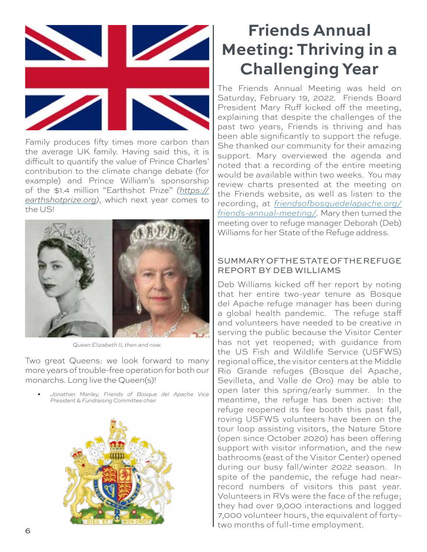

Family produces fifty times more carbon than the average UK family. Having said this, it is difficult to quantify the value of Prince Charles' contribution to the climate change debate (for example) and Prince William's sponsorship of the \$1.4 million "Earthshot Prize" *([https://](https://earthshotprize.org) [earthshotprize.org\)](https://earthshotprize.org)*, which next year comes to the US!



*Queen Elizabeth II, then and now.*

Two great Queens: we look forward to many more years of trouble-free operation for both our monarchs. Long live the Queen(s)!

• *Jonathan Manley, Friends of Bosque del Apache Vice President & Fundraising Committee chair*



# **Friends Annual Meeting: Thriving in a Challenging Year**

The Friends Annual Meeting was held on Saturday, February 19, 2022. Friends Board President Mary Ruff kicked off the meeting, explaining that despite the challenges of the past two years, Friends is thriving and has been able significantly to support the refuge. She thanked our community for their amazing support. Mary overviewed the agenda and noted that a recording of the entire meeting would be available within two weeks. You may review charts presented at the meeting on the Friends website, as well as listen to the recording, at *[friendsofbosquedelapache.org/](https://friendsofbosquedelapache.org/friends-annual-meeting/) [friends-annual-meeting/.](https://friendsofbosquedelapache.org/friends-annual-meeting/)* Mary then turned the meeting over to refuge manager Deborah (Deb) Williams for her State of the Refuge address.

### SUMMARY OF THE STATE OF THE REFUGE REPORT BY DEB WILLIAMS

Deb Williams kicked off her report by noting that her entire two-year tenure as Bosque del Apache refuge manager has been during a global health pandemic. The refuge staff and volunteers have needed to be creative in serving the public because the Visitor Center has not yet reopened; with guidance from the US Fish and Wildlife Service (USFWS) regional office, the visitor centers at the Middle Rio Grande refuges (Bosque del Apache, Sevilleta, and Valle de Oro) may be able to open later this spring/early summer. In the meantime, the refuge has been active: the refuge reopened its fee booth this past fall, roving USFWS volunteers have been on the tour loop assisting visitors, the Nature Store (open since October 2020) has been offering support with visitor information, and the new bathrooms (east of the Visitor Center) opened during our busy fall/winter 2022 season. In spite of the pandemic, the refuge had nearrecord numbers of visitors this past year. Volunteers in RVs were the face of the refuge; they had over 9,000 interactions and logged 7,000 volunteer hours, the equivalent of fortytwo months of full-time employment.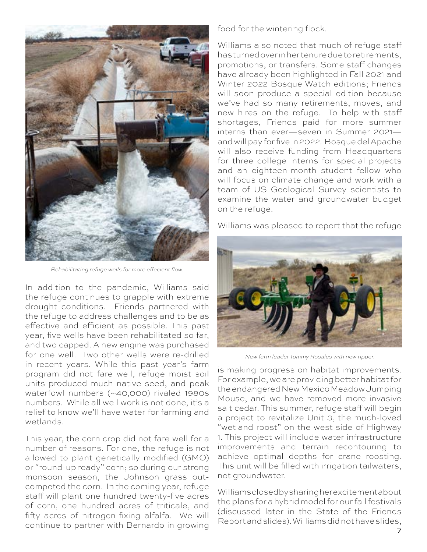

*Rehabilitating refuge wells for more effecient flow.*

In addition to the pandemic, Williams said the refuge continues to grapple with extreme drought conditions. Friends partnered with the refuge to address challenges and to be as effective and efficient as possible. This past year, five wells have been rehabilitated so far, and two capped. A new engine was purchased for one well. Two other wells were re-drilled in recent years. While this past year's farm program did not fare well, refuge moist soil units produced much native seed, and peak waterfowl numbers (~40,000) rivaled 1980s numbers. While all well work is not done, it's a relief to know we'll have water for farming and wetlands.

This year, the corn crop did not fare well for a number of reasons. For one, the refuge is not allowed to plant genetically modified (GMO) or "round-up ready" corn; so during our strong monsoon season, the Johnson grass outcompeted the corn. In the coming year, refuge staff will plant one hundred twenty-five acres of corn, one hundred acres of triticale, and fifty acres of nitrogen-fixing alfalfa. We will continue to partner with Bernardo in growing

food for the wintering flock.

Williams also noted that much of refuge staff has turned over in her tenure due to retirements, promotions, or transfers. Some staff changes have already been highlighted in Fall 2021 and Winter 2022 Bosque Watch editions; Friends will soon produce a special edition because we've had so many retirements, moves, and new hires on the refuge. To help with staff shortages, Friends paid for more summer interns than ever—seven in Summer 2021 and will pay for five in 2022. Bosque del Apache will also receive funding from Headquarters for three college interns for special projects and an eighteen-month student fellow who will focus on climate change and work with a team of US Geological Survey scientists to examine the water and groundwater budget on the refuge.

Williams was pleased to report that the refuge



*New farm leader Tommy Rosales with new ripper.*

is making progress on habitat improvements. For example, we are providing better habitat for the endangered New Mexico Meadow Jumping Mouse, and we have removed more invasive salt cedar. This summer, refuge staff will begin a project to revitalize Unit 3, the much-loved "wetland roost" on the west side of Highway 1. This project will include water infrastructure improvements and terrain recontouring to achieve optimal depths for crane roosting. This unit will be filled with irrigation tailwaters, not groundwater.

Williams closed by sharing her excitement about the plans for a hybrid model for our fall festivals (discussed later in the State of the Friends Report and slides). Williams did not have slides,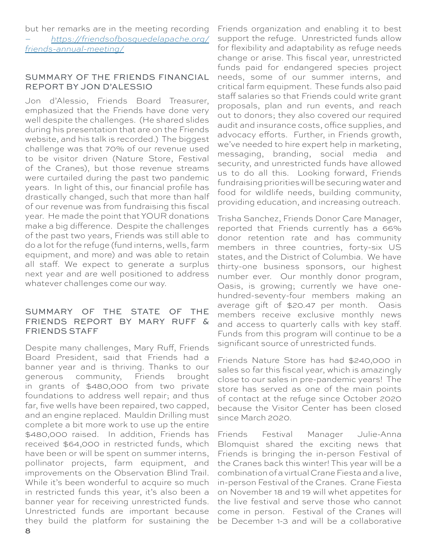but her remarks are in the meeting recording *– [https://friendsofbosquedelapache.org/](https://friendsofbosquedelapache.org/friends-annual-meeting/) [friends-annual-meeting/](https://friendsofbosquedelapache.org/friends-annual-meeting/)*

### SUMMARY OF THE FRIENDS FINANCIAL REPORT BY JON D'ALESSIO

Jon d'Alessio, Friends Board Treasurer, emphasized that the Friends have done very well despite the challenges. (He shared slides during his presentation that are on the Friends website, and his talk is recorded.) The biggest challenge was that 70% of our revenue used to be visitor driven (Nature Store, Festival of the Cranes), but those revenue streams were curtailed during the past two pandemic years. In light of this, our financial profile has drastically changed, such that more than half of our revenue was from fundraising this fiscal year. He made the point that YOUR donations make a big difference. Despite the challenges of the past two years, Friends was still able to do a lot for the refuge (fund interns, wells, farm equipment, and more) and was able to retain all staff. We expect to generate a surplus next year and are well positioned to address whatever challenges come our way.

### SUMMARY OF THE STATE OF THE FRIENDS REPORT BY MARY RUFF & FRIENDS STAFF

Despite many challenges, Mary Ruff, Friends Board President, said that Friends had a banner year and is thriving. Thanks to our generous community, Friends brought in grants of \$480,000 from two private foundations to address well repair; and thus far, five wells have been repaired, two capped, and an engine replaced. Mauldin Drilling must complete a bit more work to use up the entire \$480,000 raised. In addition, Friends has received \$64,000 in restricted funds, which have been or will be spent on summer interns, pollinator projects, farm equipment, and improvements on the Observation Blind Trail. While it's been wonderful to acquire so much in restricted funds this year, it's also been a banner year for receiving unrestricted funds. Unrestricted funds are important because they build the platform for sustaining the

Friends organization and enabling it to best support the refuge. Unrestricted funds allow for flexibility and adaptability as refuge needs change or arise. This fiscal year, unrestricted funds paid for endangered species project needs, some of our summer interns, and critical farm equipment. These funds also paid staff salaries so that Friends could write grant proposals, plan and run events, and reach out to donors; they also covered our required audit and insurance costs, office supplies, and advocacy efforts. Further, in Friends growth, we've needed to hire expert help in marketing, messaging, branding, social media and security, and unrestricted funds have allowed us to do all this. Looking forward, Friends fundraising priorities will be securing water and food for wildlife needs, building community, providing education, and increasing outreach.

Trisha Sanchez, Friends Donor Care Manager, reported that Friends currently has a 66% donor retention rate and has community members in three countries, forty-six US states, and the District of Columbia. We have thirty-one business sponsors, our highest number ever. Our monthly donor program, Oasis, is growing; currently we have onehundred-seventy-four members making an average gift of \$20.47 per month. Oasis members receive exclusive monthly news and access to quarterly calls with key staff. Funds from this program will continue to be a significant source of unrestricted funds.

Friends Nature Store has had \$240,000 in sales so far this fiscal year, which is amazingly close to our sales in pre-pandemic years! The store has served as one of the main points of contact at the refuge since October 2020 because the Visitor Center has been closed since March 2020.

Friends Festival Manager Julie-Anna Blomquist shared the exciting news that Friends is bringing the in-person Festival of the Cranes back this winter! This year will be a combination of a virtual Crane Fiesta and a live, in-person Festival of the Cranes. Crane Fiesta on November 18 and 19 will whet appetites for the live festival and serve those who cannot come in person. Festival of the Cranes will be December 1-3 and will be a collaborative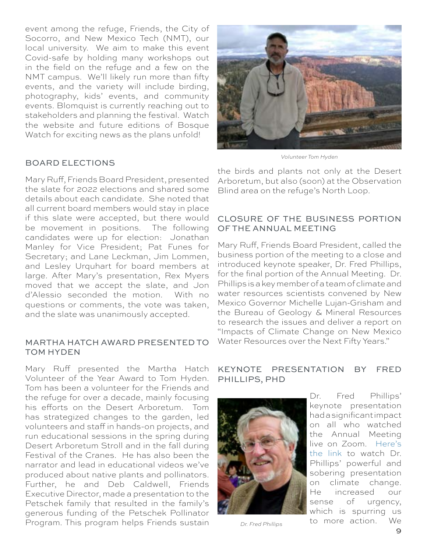event among the refuge, Friends, the City of Socorro, and New Mexico Tech (NMT), our local university. We aim to make this event Covid-safe by holding many workshops out in the field on the refuge and a few on the NMT campus. We'll likely run more than fifty events, and the variety will include birding, photography, kids' events, and community events. Blomquist is currently reaching out to stakeholders and planning the festival. Watch the website and future editions of Bosque Watch for exciting news as the plans unfold!

### BOARD ELECTIONS

Mary Ruff, Friends Board President, presented the slate for 2022 elections and shared some details about each candidate. She noted that all current board members would stay in place if this slate were accepted, but there would be movement in positions. The following candidates were up for election: Jonathan Manley for Vice President; Pat Funes for Secretary; and Lane Leckman, Jim Lommen, and Lesley Urquhart for board members at large. After Mary's presentation, Rex Myers moved that we accept the slate, and Jon d'Alessio seconded the motion. With no questions or comments, the vote was taken, and the slate was unanimously accepted.

#### MARTHA HATCH AWARD PRESENTED TO TOM HYDEN

Mary Ruff presented the Martha Hatch Volunteer of the Year Award to Tom Hyden. Tom has been a volunteer for the Friends and the refuge for over a decade, mainly focusing his efforts on the Desert Arboretum. Tom has strategized changes to the garden, led volunteers and staff in hands-on projects, and run educational sessions in the spring during Desert Arboretum Stroll and in the fall during Festival of the Cranes. He has also been the narrator and lead in educational videos we've produced about native plants and pollinators. Further, he and Deb Caldwell, Friends Executive Director, made a presentation to the Petschek family that resulted in the family's generous funding of the Petschek Pollinator Program. This program helps Friends sustain



*Volunteer Tom Hyden*

the birds and plants not only at the Desert Arboretum, but also (soon) at the Observation Blind area on the refuge's North Loop.

### CLOSURE OF THE BUSINESS PORTION OF THE ANNUAL MEETING

Mary Ruff, Friends Board President, called the business portion of the meeting to a close and introduced keynote speaker, Dr. Fred Phillips, for the final portion of the Annual Meeting. Dr. Phillips is a key member of a team of climate and water resources scientists convened by New Mexico Governor Michelle Lujan-Grisham and the Bureau of Geology & Mineral Resources to research the issues and deliver a report on "Impacts of Climate Change on New Mexico Water Resources over the Next Fifty Years."

### KEYNOTE PRESENTATION BY FRED PHILLIPS, PHD



Dr. Fred Phillips' keynote presentation had a significant impact on all who watched the Annual Meeting live on Zoom. [Here's](https://friendsofbosquedelapache.org/2022/02/27/taking-action-after-dr-fred-phillips-talk/?emci=c33b5e52-1c98-ec11-a507-281878b83d8a&emdi=ea000000-0000-0000-0000-000000000001&ceid=)  [the link t](https://friendsofbosquedelapache.org/2022/02/27/taking-action-after-dr-fred-phillips-talk/?emci=c33b5e52-1c98-ec11-a507-281878b83d8a&emdi=ea000000-0000-0000-0000-000000000001&ceid=)o watch Dr. Phillips' powerful and sobering presentation on climate change. He increased our sense of urgency, which is spurring us to more action. We *Dr. Fred Phillips*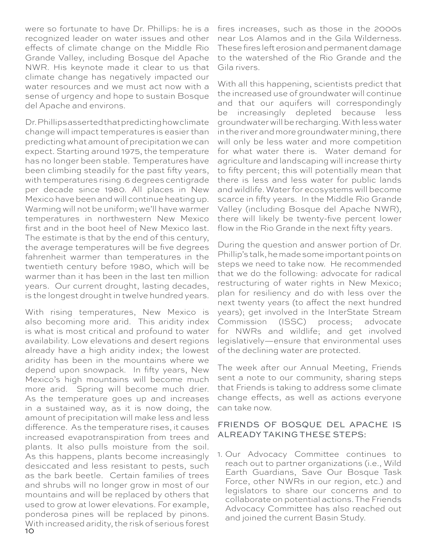were so fortunate to have Dr. Phillips: he is a recognized leader on water issues and other effects of climate change on the Middle Rio Grande Valley, including Bosque del Apache NWR. His keynote made it clear to us that climate change has negatively impacted our water resources and we must act now with a sense of urgency and hope to sustain Bosque del Apache and environs.

Dr. Phillips asserted that predicting how climate change will impact temperatures is easier than predicting what amount of precipitation we can expect. Starting around 1975, the temperature has no longer been stable. Temperatures have been climbing steadily for the past fifty years, with temperatures rising .6 degrees centigrade per decade since 1980. All places in New Mexico have been and will continue heating up. Warming will not be uniform; we'll have warmer temperatures in northwestern New Mexico first and in the boot heel of New Mexico last. The estimate is that by the end of this century, the average temperatures will be five degrees fahrenheit warmer than temperatures in the twentieth century before 1980, which will be warmer than it has been in the last ten million years. Our current drought, lasting decades, is the longest drought in twelve hundred years.

10 With rising temperatures, New Mexico is also becoming more arid. This aridity index is what is most critical and profound to water availability. Low elevations and desert regions already have a high aridity index; the lowest aridity has been in the mountains where we depend upon snowpack. In fifty years, New Mexico's high mountains will become much more arid. Spring will become much drier. As the temperature goes up and increases in a sustained way, as it is now doing, the amount of precipitation will make less and less difference. As the temperature rises, it causes increased evapotranspiration from trees and plants. It also pulls moisture from the soil. As this happens, plants become increasingly desiccated and less resistant to pests, such as the bark beetle. Certain families of trees and shrubs will no longer grow in most of our mountains and will be replaced by others that used to grow at lower elevations. For example, ponderosa pines will be replaced by pinons. With increased aridity, the risk of serious forest fires increases, such as those in the 2000s near Los Alamos and in the Gila Wilderness. These fires left erosion and permanent damage to the watershed of the Rio Grande and the Gila rivers.

With all this happening, scientists predict that the increased use of groundwater will continue and that our aquifers will correspondingly be increasingly depleted because less groundwater will be recharging. With less water in the river and more groundwater mining, there will only be less water and more competition for what water there is. Water demand for agriculture and landscaping will increase thirty to fifty percent; this will potentially mean that there is less and less water for public lands and wildlife. Water for ecosystems will become scarce in fifty years. In the Middle Rio Grande Valley (including Bosque del Apache NWR), there will likely be twenty-five percent lower flow in the Rio Grande in the next fifty years.

During the question and answer portion of Dr. Phillip's talk, he made some important points on steps we need to take now. He recommended that we do the following: advocate for radical restructuring of water rights in New Mexico; plan for resiliency and do with less over the next twenty years (to affect the next hundred years); get involved in the InterState Stream Commission (ISSC) process; advocate for NWRs and wildlife; and get involved legislatively—ensure that environmental uses of the declining water are protected.

The week after our Annual Meeting, Friends sent a note to our community, sharing steps that Friends is taking to address some climate change effects, as well as actions everyone can take now.

### FRIENDS OF BOSQUE DEL APACHE IS ALREADY TAKING THESE STEPS:

1. Our Advocacy Committee continues to reach out to partner organizations (i.e., Wild Earth Guardians, Save Our Bosque Task Force, other NWRs in our region, etc.) and legislators to share our concerns and to collaborate on potential actions. The Friends Advocacy Committee has also reached out and joined the current Basin Study.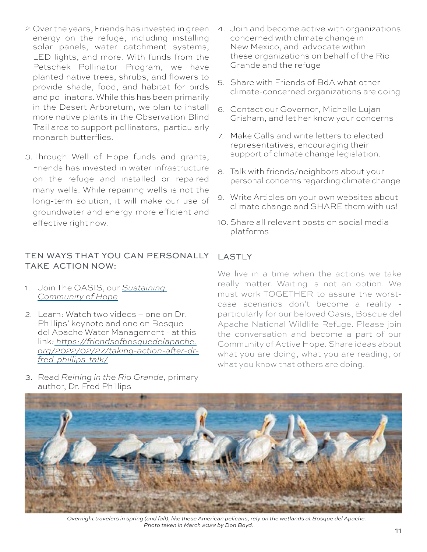- 2.Over the years, Friends has invested in green energy on the refuge, including installing solar panels, water catchment systems, LED lights, and more. With funds from the Petschek Pollinator Program, we have planted native trees, shrubs, and flowers to provide shade, food, and habitat for birds and pollinators. While this has been primarily in the Desert Arboretum, we plan to install more native plants in the Observation Blind Trail area to support pollinators, particularly monarch butterflies.
- 3.Through Well of Hope funds and grants, Friends has invested in water infrastructure on the refuge and installed or repaired many wells. While repairing wells is not the long-term solution, it will make our use of groundwater and energy more efficient and effective right now.

### TEN WAYS THAT YOU CAN PERSONALLY TAKE ACTION NOW:

- 1. Join The OASIS, our *[Sustaining](https://friendsofbosquedelapache.org/oasis/?emci=c33b5e52-1c98-ec11-a507-281878b83d8a&emdi=ea000000-0000-0000-0000-000000000001&ceid=)  [Community of Hope](https://friendsofbosquedelapache.org/oasis/?emci=c33b5e52-1c98-ec11-a507-281878b83d8a&emdi=ea000000-0000-0000-0000-000000000001&ceid=)*
- 2. Learn: Watch two videos one on Dr. Phillips' keynote and one on Bosque del Apache Water Management - at this link*: [https://friendsofbosquedelapache.](https://friendsofbosquedelapache.org/2022/02/27/taking-action-after-dr-fred-phillips-talk/) [org/2022/02/27/taking-action-after-dr](https://friendsofbosquedelapache.org/2022/02/27/taking-action-after-dr-fred-phillips-talk/)[fred-phillips-talk/](https://friendsofbosquedelapache.org/2022/02/27/taking-action-after-dr-fred-phillips-talk/)*

3. Read *Reining in the Rio Grande,* primary

- 4. Join and become active with organizations concerned with climate change in New Mexico, and advocate within these organizations on behalf of the Rio Grande and the refuge
- 5. Share with Friends of BdA what other climate-concerned organizations are doing
- 6. Contact our Governor, Michelle Lujan Grisham, and let her know your concerns
- 7. Make Calls and write letters to elected representatives, encouraging their support of climate change legislation.
- 8. Talk with friends/neighbors about your personal concerns regarding climate change
- 9. Write Articles on your own websites about climate change and SHARE them with us!
- 10. Share all relevant posts on social media platforms

### LASTLY

We live in a time when the actions we take really matter. Waiting is not an option. We must work TOGETHER to assure the worstcase scenarios don't become a reality particularly for our beloved Oasis, Bosque del Apache National Wildlife Refuge. Please join the conversation and become a part of our Community of Active Hope. Share ideas about what you are doing, what you are reading, or what you know that others are doing.



*Overnight travelers in spring (and fall), like these American pelicans, rely on the wetlands at Bosque del Apache. Photo taken in March 2022 by Don Boyd.* 

11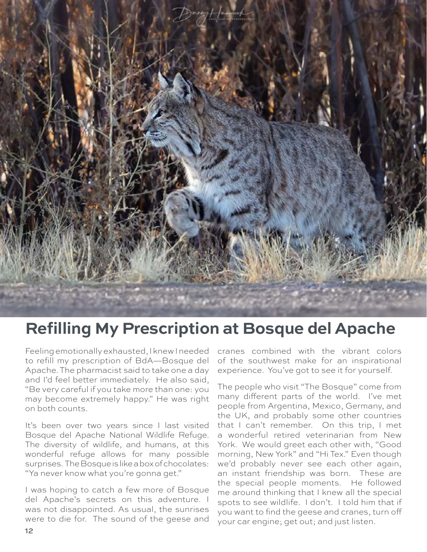

### **Refilling My Prescription at Bosque del Apache**

Feeling emotionally exhausted, I knew I needed to refill my prescription of BdA—Bosque del Apache. The pharmacist said to take one a day and I'd feel better immediately. He also said, "Be very careful if you take more than one: you may become extremely happy." He was right on both counts.

It's been over two years since I last visited Bosque del Apache National Wildlife Refuge. The diversity of wildlife, and humans, at this wonderful refuge allows for many possible surprises. The Bosque is like a box of chocolates: "Ya never know what you're gonna get."

I was hoping to catch a few more of Bosque del Apache's secrets on this adventure. I was not disappointed. As usual, the sunrises were to die for. The sound of the geese and

cranes combined with the vibrant colors of the southwest make for an inspirational experience. You've got to see it for yourself.

The people who visit "The Bosque" come from many different parts of the world. I've met people from Argentina, Mexico, Germany, and the UK, and probably some other countries that I can't remember. On this trip, I met a wonderful retired veterinarian from New York. We would greet each other with, "Good morning, New York" and "Hi Tex." Even though we'd probably never see each other again, an instant friendship was born. These are the special people moments. He followed me around thinking that I knew all the special spots to see wildlife. I don't. I told him that if you want to find the geese and cranes, turn off your car engine; get out; and just listen.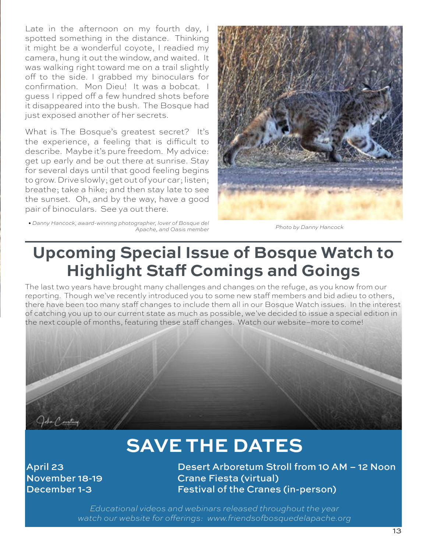Late in the afternoon on my fourth day, I spotted something in the distance. Thinking it might be a wonderful coyote, I readied my camera, hung it out the window, and waited. It was walking right toward me on a trail slightly off to the side. I grabbed my binoculars for confirmation. Mon Dieu! It was a bobcat. I guess I ripped off a few hundred shots before it disappeared into the bush. The Bosque had just exposed another of her secrets.

What is The Bosque's greatest secret? It's the experience, a feeling that is difficult to describe. Maybe it's pure freedom. My advice: get up early and be out there at sunrise. Stay for several days until that good feeling begins to grow. Drive slowly; get out of your car; listen; breathe; take a hike; and then stay late to see the sunset. Oh, and by the way, have a good pair of binoculars. See ya out there.

*• Danny Hancock, award-winning photographer, lover of Bosque del Apache, and Oasis member Photo by Danny Hancock*



### **Upcoming Special Issue of Bosque Watch to Highlight Staff Comings and Goings**

The last two years have brought many challenges and changes on the refuge, as you know from our reporting. Though we've recently introduced you to some new staff members and bid adieu to others, there have been too many staff changes to include them all in our Bosque Watch issues. In the interest of catching you up to our current state as much as possible, we've decided to issue a special edition in the next couple of months, featuring these staff changes. Watch our website–more to come!



# **SAVE THE DATES**

April 23 Desert Arboretum Stroll from 10 AM – 12 Noon November 18-19 Crane Fiesta (virtual) December 1-3 Festival of the Cranes (in-person)

> *Educational videos and webinars released throughout the year watch our website for offerings: [www.friendsofbosquedelapache.org](http://www.friendsofbosquedelapache.org)*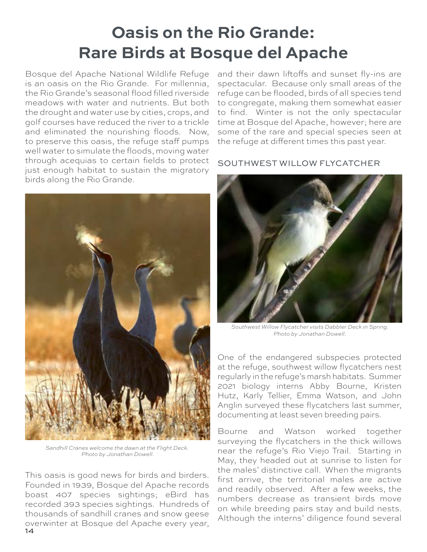# **Oasis on the Rio Grande: Rare Birds at Bosque del Apache**

Bosque del Apache National Wildlife Refuge is an oasis on the Rio Grande. For millennia, the Rio Grande's seasonal flood filled riverside meadows with water and nutrients. But both the drought and water use by cities, crops, and golf courses have reduced the river to a trickle and eliminated the nourishing floods. Now, to preserve this oasis, the refuge staff pumps well water to simulate the floods, moving water through acequias to certain fields to protect just enough habitat to sustain the migratory birds along the Rio Grande.



*Sandhill Cranes welcome the dawn at the Flight Deck. Photo by Jonathan Dowell.*

14 This oasis is good news for birds and birders. Founded in 1939, Bosque del Apache records boast 407 species sightings; eBird has recorded 393 species sightings. Hundreds of thousands of sandhill cranes and snow geese overwinter at Bosque del Apache every year,

and their dawn liftoffs and sunset fly-ins are spectacular. Because only small areas of the refuge can be flooded, birds of all species tend to congregate, making them somewhat easier to find. Winter is not the only spectacular time at Bosque del Apache, however; here are some of the rare and special species seen at the refuge at different times this past year.

### SOUTHWEST WILLOW FLYCATCHER



*Southwest Willow Flycatcher visits Dabbler Deck in Spring. Photo by Jonathan Dowell.*

One of the endangered subspecies protected at the refuge, southwest willow flycatchers nest regularly in the refuge's marsh habitats. Summer 2021 biology interns Abby Bourne, Kristen Hutz, Karly Tellier, Emma Watson, and John Anglin surveyed these flycatchers last summer, documenting at least seven breeding pairs.

Bourne and Watson worked together surveying the flycatchers in the thick willows near the refuge's Rio Viejo Trail. Starting in May, they headed out at sunrise to listen for the males' distinctive call. When the migrants first arrive, the territorial males are active and readily observed. After a few weeks, the numbers decrease as transient birds move on while breeding pairs stay and build nests. Although the interns' diligence found several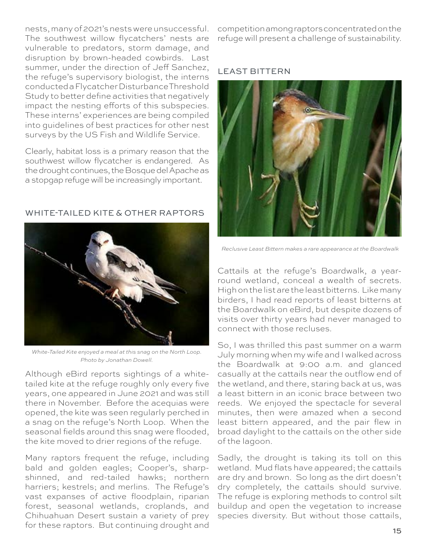nests, many of 2021's nests were unsuccessful. The southwest willow flycatchers' nests are vulnerable to predators, storm damage, and disruption by brown-headed cowbirds. Last summer, under the direction of Jeff Sanchez, the refuge's supervisory biologist, the interns conducted a Flycatcher Disturbance Threshold Study to better define activities that negatively impact the nesting efforts of this subspecies. These interns' experiences are being compiled into guidelines of best practices for other nest surveys by the US Fish and Wildlife Service.

Clearly, habitat loss is a primary reason that the southwest willow flycatcher is endangered. As the drought continues, the Bosque del Apache as a stopgap refuge will be increasingly important.

### WHITE-TAILED KITE & OTHER RAPTORS



*White-Tailed Kite enjoyed a meal at this snag on the North Loop. Photo by Jonathan Dowell.*

Although eBird reports sightings of a whitetailed kite at the refuge roughly only every five years, one appeared in June 2021 and was still there in November. Before the acequias were opened, the kite was seen regularly perched in a snag on the refuge's North Loop. When the seasonal fields around this snag were flooded, the kite moved to drier regions of the refuge.

Many raptors frequent the refuge, including bald and golden eagles; Cooper's, sharpshinned, and red-tailed hawks; northern harriers; kestrels; and merlins. The Refuge's vast expanses of active floodplain, riparian forest, seasonal wetlands, croplands, and Chihuahuan Desert sustain a variety of prey for these raptors. But continuing drought and

competition among raptors concentrated on the refuge will present a challenge of sustainability.

### LEAST BITTERN



 *Reclusive Least Bittern makes a rare appearance at the Boardwalk* 

Cattails at the refuge's Boardwalk, a yearround wetland, conceal a wealth of secrets. High on the list are the least bitterns. Like many birders, I had read reports of least bitterns at the Boardwalk on eBird, but despite dozens of visits over thirty years had never managed to connect with those recluses.

So, I was thrilled this past summer on a warm July morning when my wife and I walked across the Boardwalk at 9:00 a.m. and glanced casually at the cattails near the outflow end of the wetland, and there, staring back at us, was a least bittern in an iconic brace between two reeds. We enjoyed the spectacle for several minutes, then were amazed when a second least bittern appeared, and the pair flew in broad daylight to the cattails on the other side of the lagoon.

Sadly, the drought is taking its toll on this wetland. Mud flats have appeared; the cattails are dry and brown. So long as the dirt doesn't dry completely, the cattails should survive. The refuge is exploring methods to control silt buildup and open the vegetation to increase species diversity. But without those cattails,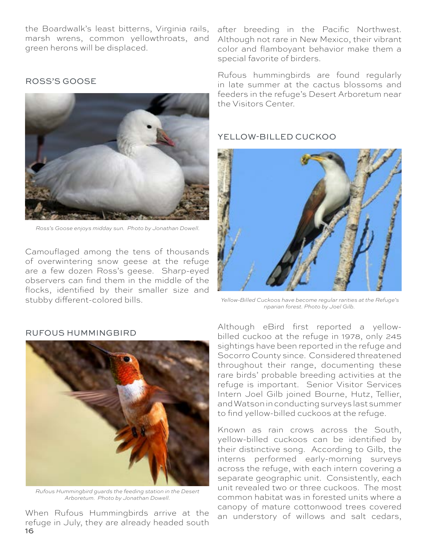the Boardwalk's least bitterns, Virginia rails, marsh wrens, common yellowthroats, and green herons will be displaced.

 *Ross's Goose enjoys midday sun. Photo by Jonathan Dowell.* 

Camouflaged among the tens of thousands of overwintering snow geese at the refuge are a few dozen Ross's geese. Sharp-eyed observers can find them in the middle of the flocks, identified by their smaller size and stubby different-colored bills.

#### ROSS'S GOOSE

after breeding in the Pacific Northwest. Although not rare in New Mexico, their vibrant color and flamboyant behavior make them a special favorite of birders.

Rufous hummingbirds are found regularly in late summer at the cactus blossoms and feeders in the refuge's Desert Arboretum near the Visitors Center.

#### YELLOW-BILLED CUCKOO



 *Yellow-Billed Cuckoos have become regular rarities at the Refuge's riparian forest. Photo by Joel Gilb.*

*Rufous Hummingbird guards the feeding station in the Desert Arboretum. Photo by Jonathan Dowell.*

16 When Rufous Hummingbirds arrive at the refuge in July, they are already headed south

### RUFOUS HUMMINGBIRD

Although eBird first reported a yellowbilled cuckoo at the refuge in 1978, only 245 sightings have been reported in the refuge and Socorro County since. Considered threatened throughout their range, documenting these rare birds' probable breeding activities at the refuge is important. Senior Visitor Services Intern Joel Gilb joined Bourne, Hutz, Tellier, and Watson in conducting surveys last summer to find yellow-billed cuckoos at the refuge.

Known as rain crows across the South, yellow-billed cuckoos can be identified by their distinctive song. According to Gilb, the interns performed early-morning surveys across the refuge, with each intern covering a separate geographic unit. Consistently, each unit revealed two or three cuckoos. The most common habitat was in forested units where a canopy of mature cottonwood trees covered an understory of willows and salt cedars,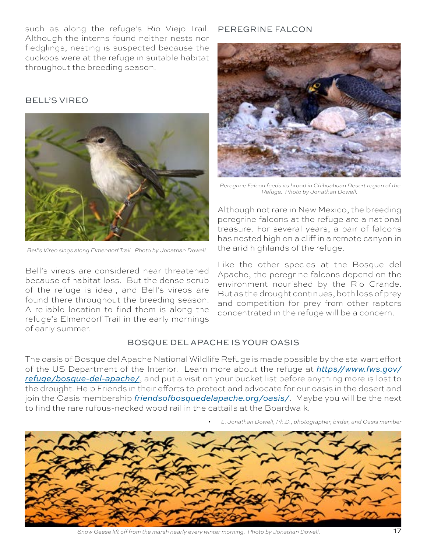such as along the refuge's Rio Viejo Trail. Although the interns found neither nests nor fledglings, nesting is suspected because the cuckoos were at the refuge in suitable habitat throughout the breeding season.

### BELL'S VIREO



*Bell's Vireo sings along Elmendorf Trail. Photo by Jonathan Dowell.*

Bell's vireos are considered near threatened because of habitat loss. But the dense scrub of the refuge is ideal, and Bell's vireos are found there throughout the breeding season. A reliable location to find them is along the refuge's Elmendorf Trail in the early mornings of early summer.

### PEREGRINE FALCON



 *Peregrine Falcon feeds its brood in Chihuahuan Desert region of the Refuge. Photo by Jonathan Dowell.*

Although not rare in New Mexico, the breeding peregrine falcons at the refuge are a national treasure. For several years, a pair of falcons has nested high on a cliff in a remote canyon in the arid highlands of the refuge.

Like the other species at the Bosque del Apache, the peregrine falcons depend on the environment nourished by the Rio Grande. But as the drought continues, both loss of prey and competition for prey from other raptors concentrated in the refuge will be a concern.

### BOSQUE DEL APACHE IS YOUR OASIS

The oasis of Bosque del Apache National Wildlife Refuge is made possible by the stalwart effort of the US Department of the Interior. Learn more about the refuge at *https//[www.fws.gov/](http://www.fws.gov/refuge/bosque-del-apache/) [refuge/bosque-del-apache/](http://www.fws.gov/refuge/bosque-del-apache/)*, and put a visit on your bucket list before anything more is lost to the drought. Help Friends in their efforts to protect and advocate for our oasis in the desert and join the Oasis membership *[friendsofbosquedelapache.org/oasis/](https://friendsofbosquedelapache.org/oasis/)*. Maybe you will be the next to find the rare rufous-necked wood rail in the cattails at the Boardwalk.





*Snow Geese lift off from the marsh nearly every winter morning. Photo by Jonathan Dowell.* 17